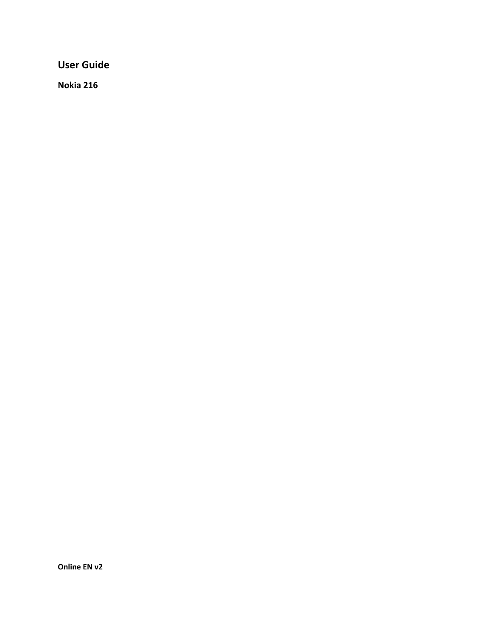**User Guide**

**Nokia 216**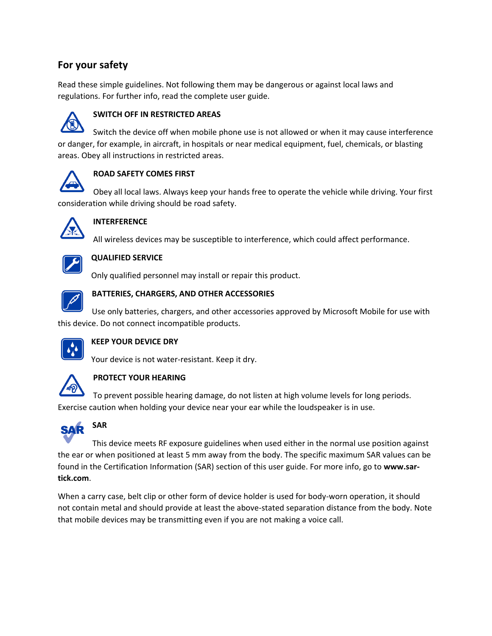# **For your safety**

Read these simple guidelines. Not following them may be dangerous or against local laws and regulations. For further info, read the complete user guide.



#### **SWITCH OFF IN RESTRICTED AREAS**

Switch the device off when mobile phone use is not allowed or when it may cause interference or danger, for example, in aircraft, in hospitals or near medical equipment, fuel, chemicals, or blasting areas. Obey all instructions in restricted areas.



#### **ROAD SAFETY COMES FIRST**

Obey all local laws. Always keep your hands free to operate the vehicle while driving. Your first consideration while driving should be road safety.



#### **INTERFERENCE**

All wireless devices may be susceptible to interference, which could affect performance.



#### **QUALIFIED SERVICE**

Only qualified personnel may install or repair this product.



#### **BATTERIES, CHARGERS, AND OTHER ACCESSORIES**

Use only batteries, chargers, and other accessories approved by Microsoft Mobile for use with this device. Do not connect incompatible products.



#### **KEEP YOUR DEVICE DRY**

Your device is not water-resistant. Keep it dry.



#### **PROTECT YOUR HEARING**

To prevent possible hearing damage, do not listen at high volume levels for long periods. Exercise caution when holding your device near your ear while the loudspeaker is in use.



**SAR**

# This device meets RF exposure guidelines when used either in the normal use position against the ear or when positioned at least 5 mm away from the body. The specific maximum SAR values can be found in the Certification Information (SAR) section of this user guide. For more info, go to **www.sar-**

**tick.com**.

When a carry case, belt clip or other form of device holder is used for body-worn operation, it should not contain metal and should provide at least the above-stated separation distance from the body. Note that mobile devices may be transmitting even if you are not making a voice call.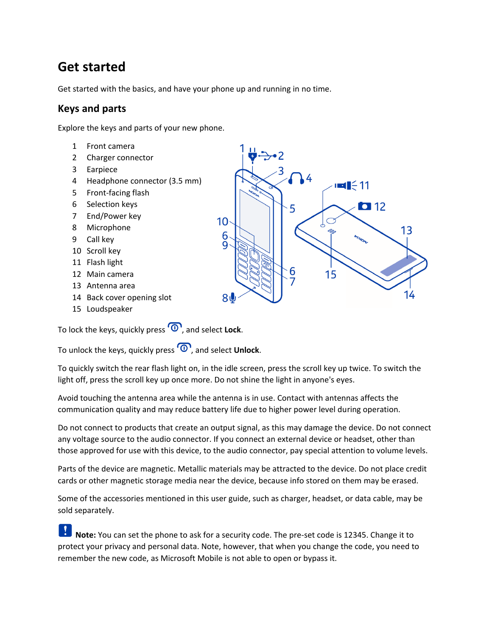# **Get started**

Get started with the basics, and have your phone up and running in no time.

# **Keys and parts**

Explore the keys and parts of your new phone.

- 1 Front camera
- 2 Charger connector
- 3 Earpiece
- 4 Headphone connector (3.5 mm)
- 5 Front-facing flash
- 6 Selection keys
- 7 End/Power key
- 8 Microphone
- 9 Call key
- 10 Scroll key
- 11 Flash light
- 12 Main camera
- 13 Antenna area
- 14 Back cover opening slot
- 15 Loudspeaker

To lock the keys, quickly press  $\overline{\Phi}$ , and select **Lock**.

To unlock the keys, quickly press  $\overline{\Phi}$ , and select **Unlock**.

To quickly switch the rear flash light on, in the idle screen, press the scroll key up twice. To switch the light off, press the scroll key up once more. Do not shine the light in anyone's eyes.

Avoid touching the antenna area while the antenna is in use. Contact with antennas affects the communication quality and may reduce battery life due to higher power level during operation.

Do not connect to products that create an output signal, as this may damage the device. Do not connect any voltage source to the audio connector. If you connect an external device or headset, other than those approved for use with this device, to the audio connector, pay special attention to volume levels.

Parts of the device are magnetic. Metallic materials may be attracted to the device. Do not place credit cards or other magnetic storage media near the device, because info stored on them may be erased.

Some of the accessories mentioned in this user guide, such as charger, headset, or data cable, may be sold separately.

1 **Note:** You can set the phone to ask for a security code. The pre-set code is 12345. Change it to protect your privacy and personal data. Note, however, that when you change the code, you need to remember the new code, as Microsoft Mobile is not able to open or bypass it.

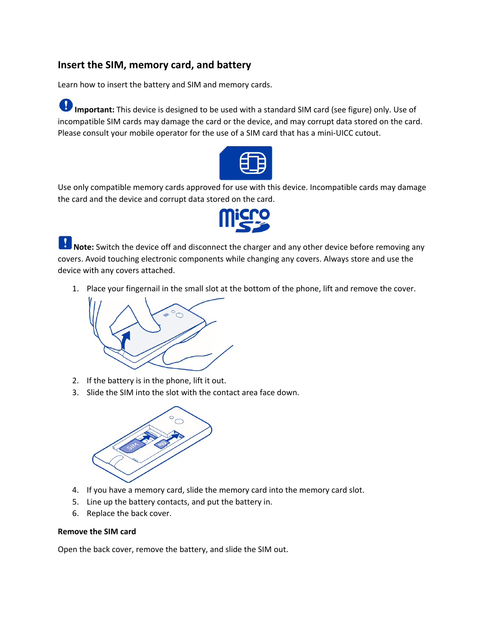# **Insert the SIM, memory card, and battery**

Learn how to insert the battery and SIM and memory cards.

**Important:** This device is designed to be used with a standard SIM card (see figure) only. Use of incompatible SIM cards may damage the card or the device, and may corrupt data stored on the card. Please consult your mobile operator for the use of a SIM card that has a mini-UICC cutout.



Use only compatible memory cards approved for use with this device. Incompatible cards may damage the card and the device and corrupt data stored on the card.



**A** Note: Switch the device off and disconnect the charger and any other device before removing any covers. Avoid touching electronic components while changing any covers. Always store and use the device with any covers attached.

1. Place your fingernail in the small slot at the bottom of the phone, lift and remove the cover.



- 2. If the battery is in the phone, lift it out.
- 3. Slide the SIM into the slot with the contact area face down.



- 4. If you have a memory card, slide the memory card into the memory card slot.
- 5. Line up the battery contacts, and put the battery in.
- 6. Replace the back cover.

#### **Remove the SIM card**

Open the back cover, remove the battery, and slide the SIM out.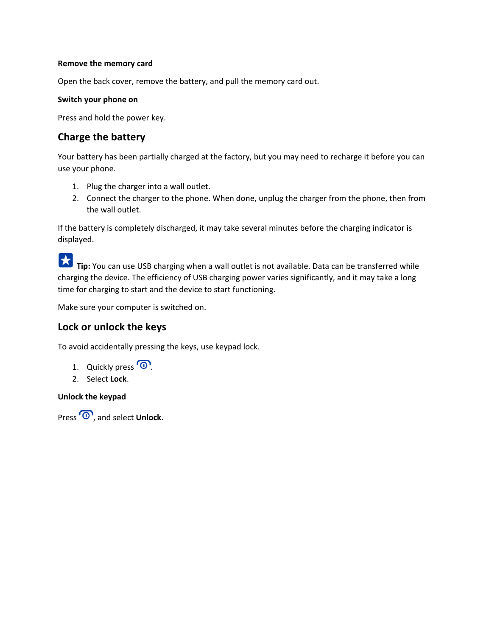#### **Remove the memory card**

Open the back cover, remove the battery, and pull the memory card out.

#### **Switch your phone on**

Press and hold the power key.

# **Charge the battery**

Your battery has been partially charged at the factory, but you may need to recharge it before you can use your phone.

- 1. Plug the charger into a wall outlet.
- 2. Connect the charger to the phone. When done, unplug the charger from the phone, then from the wall outlet.

If the battery is completely discharged, it may take several minutes before the charging indicator is displayed.

**Tip:** You can use USB charging when a wall outlet is not available. Data can be transferred while charging the device. The efficiency of USB charging power varies significantly, and it may take a long time for charging to start and the device to start functioning.

Make sure your computer is switched on.

# **Lock or unlock the keys**

To avoid accidentally pressing the keys, use keypad lock.

- 1. Quickly press  $\overline{\mathbf{O}}$ .
- 2. Select **Lock**.

#### **Unlock the keypad**

Press  $\overline{\mathbf{O}}$ , and select **Unlock**.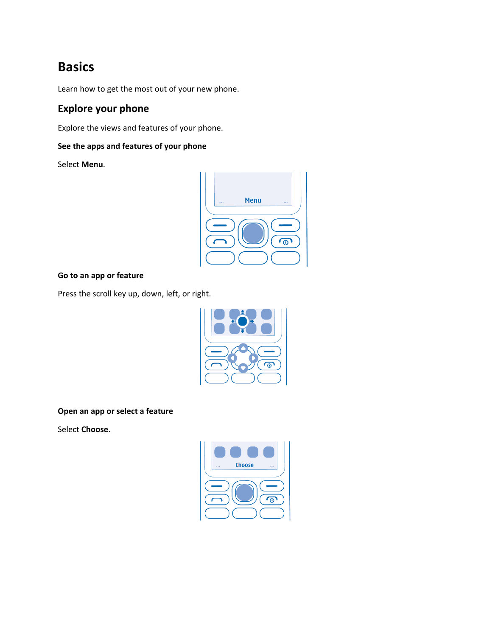# **Basics**

Learn how to get the most out of your new phone.

# **Explore your phone**

Explore the views and features of your phone.

### **See the apps and features of your phone**

Select **Menu**.



### **Go to an app or feature**

Press the scroll key up, down, left, or right.



**Open an app or select a feature**

Select **Choose**.

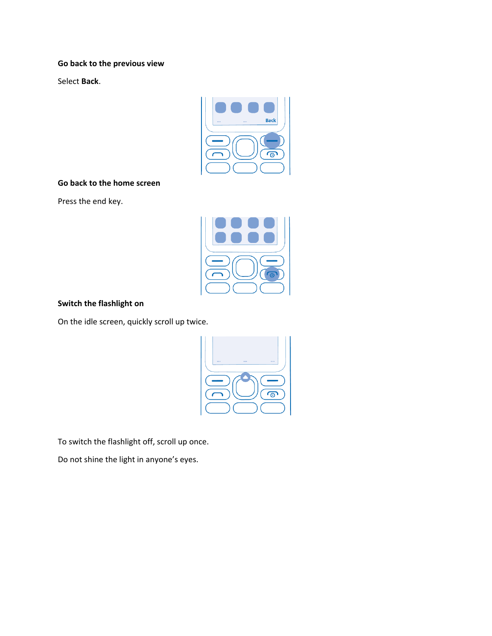#### **Go back to the previous view**

Select **Back**.



#### **Go back to the home screen**

Press the end key.



#### **Switch the flashlight on**

On the idle screen, quickly scroll up twice.



To switch the flashlight off, scroll up once.

Do not shine the light in anyone's eyes.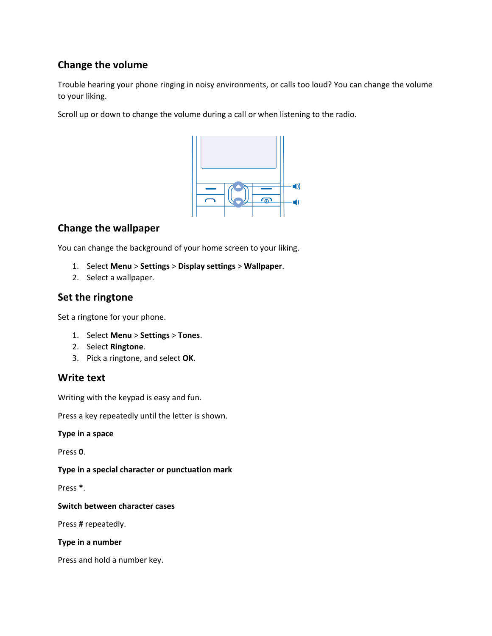# **Change the volume**

Trouble hearing your phone ringing in noisy environments, or calls too loud? You can change the volume to your liking.

Scroll up or down to change the volume during a call or when listening to the radio.



# **Change the wallpaper**

You can change the background of your home screen to your liking.

- 1. Select **Menu** > **Settings** > **Display settings** > **Wallpaper**.
- 2. Select a wallpaper.

# **Set the ringtone**

Set a ringtone for your phone.

- 1. Select **Menu** > **Settings** > **Tones**.
- 2. Select **Ringtone**.
- 3. Pick a ringtone, and select **OK**.

### **Write text**

Writing with the keypad is easy and fun.

Press a key repeatedly until the letter is shown.

**Type in a space**

Press **0**.

**Type in a special character or punctuation mark**

Press **\***.

**Switch between character cases**

Press **#** repeatedly.

**Type in a number**

Press and hold a number key.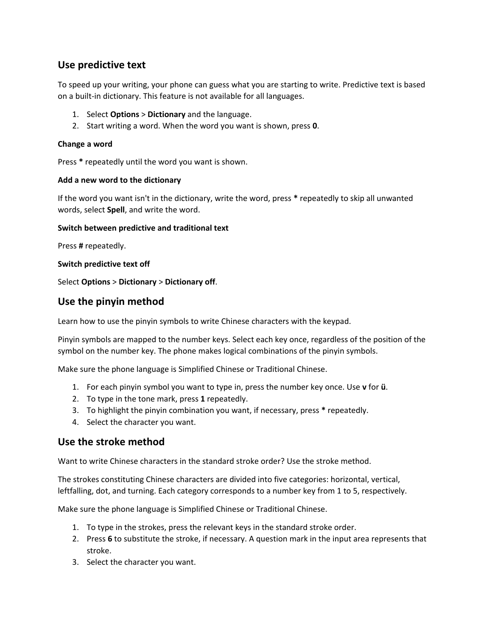# **Use predictive text**

To speed up your writing, your phone can guess what you are starting to write. Predictive text is based on a built-in dictionary. This feature is not available for all languages.

- 1. Select **Options** > **Dictionary** and the language.
- 2. Start writing a word. When the word you want is shown, press **0**.

#### **Change a word**

Press **\*** repeatedly until the word you want is shown.

#### **Add a new word to the dictionary**

If the word you want isn't in the dictionary, write the word, press **\*** repeatedly to skip all unwanted words, select **Spell**, and write the word.

#### **Switch between predictive and traditional text**

Press **#** repeatedly.

#### **Switch predictive text off**

Select **Options** > **Dictionary** > **Dictionary off**.

### **Use the pinyin method**

Learn how to use the pinyin symbols to write Chinese characters with the keypad.

Pinyin symbols are mapped to the number keys. Select each key once, regardless of the position of the symbol on the number key. The phone makes logical combinations of the pinyin symbols.

Make sure the phone language is Simplified Chinese or Traditional Chinese.

- 1. For each pinyin symbol you want to type in, press the number key once. Use **v** for **ü**.
- 2. To type in the tone mark, press **1** repeatedly.
- 3. To highlight the pinyin combination you want, if necessary, press **\*** repeatedly.
- 4. Select the character you want.

### **Use the stroke method**

Want to write Chinese characters in the standard stroke order? Use the stroke method.

The strokes constituting Chinese characters are divided into five categories: horizontal, vertical, leftfalling, dot, and turning. Each category corresponds to a number key from 1 to 5, respectively.

Make sure the phone language is Simplified Chinese or Traditional Chinese.

- 1. To type in the strokes, press the relevant keys in the standard stroke order.
- 2. Press **6** to substitute the stroke, if necessary. A question mark in the input area represents that stroke.
- 3. Select the character you want.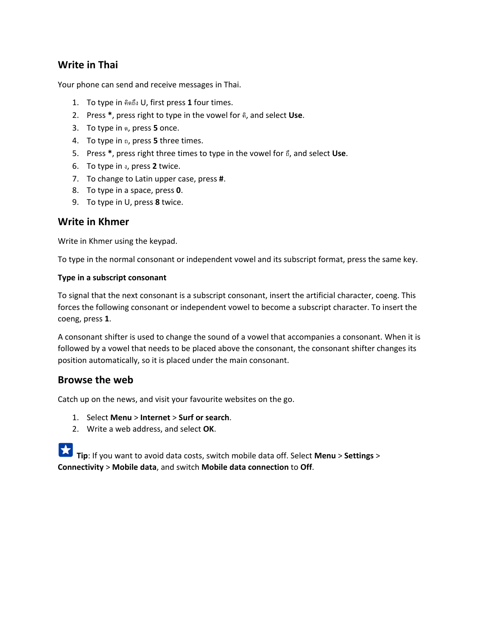# **Write in Thai**

Your phone can send and receive messages in Thai.

- 1. To type in คิดถึง U, first press **1** four times.
- 2. Press **\***, press right to type in the vowel for คิ, and select **Use**.
- 3. To type in ด, press **5** once.
- 4. To type in ถ, press **5** three times.
- 5. Press **\***, press right three times to type in the vowel for ถึ, and select **Use**.
- 6. To type in ง, press **2** twice.
- 7. To change to Latin upper case, press **#**.
- 8. To type in a space, press **0**.
- 9. To type in U, press **8** twice.

### **Write in Khmer**

Write in Khmer using the keypad.

To type in the normal consonant or independent vowel and its subscript format, press the same key.

#### **Type in a subscript consonant**

To signal that the next consonant is a subscript consonant, insert the artificial character, coeng. This forces the following consonant or independent vowel to become a subscript character. To insert the coeng, press **1**.

A consonant shifter is used to change the sound of a vowel that accompanies a consonant. When it is followed by a vowel that needs to be placed above the consonant, the consonant shifter changes its position automatically, so it is placed under the main consonant.

### **Browse the web**

Catch up on the news, and visit your favourite websites on the go.

- 1. Select **Menu** > **Internet** > **Surf or search**.
- 2. Write a web address, and select **OK**.

**Tip**: If you want to avoid data costs, switch mobile data off. Select **Menu** > **Settings** > **Connectivity** > **Mobile data**, and switch **Mobile data connection** to **Off**.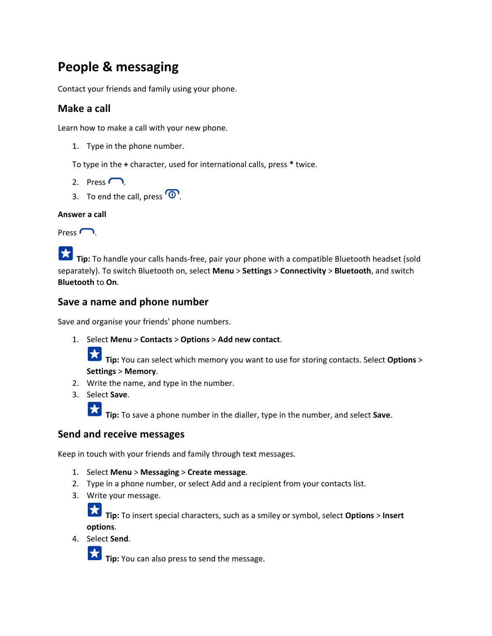# **People & messaging**

Contact your friends and family using your phone.

## **Make a call**

Learn how to make a call with your new phone.

1. Type in the phone number.

To type in the **+** character, used for international calls, press **\*** twice.

- 2. Press  $\bigcap$ .
- 3. To end the call, press  $\overline{\mathbf{O}}$ .

#### **Answer a call**

 $Press$   $\bigcap$ 

**Tip:** To handle your calls hands-free, pair your phone with a compatible Bluetooth headset (sold separately). To switch Bluetooth on, select **Menu** > **Settings** > **Connectivity** > **Bluetooth**, and switch **Bluetooth** to **On**.

### **Save a name and phone number**

Save and organise your friends' phone numbers.

1. Select **Menu** > **Contacts** > **Options** > **Add new contact**.

**Tip:** You can select which memory you want to use for storing contacts. Select **Options** > **Settings** > **Memory**.

- 2. Write the name, and type in the number.
- 3. Select **Save**.

**Tip:** To save a phone number in the dialler, type in the number, and select **Save**.

### **Send and receive messages**

Keep in touch with your friends and family through text messages.

- 1. Select **Menu** > **Messaging** > **Create message**.
- 2. Type in a phone number, or select Add and a recipient from your contacts list.
- 3. Write your message.

**Tip:** To insert special characters, such as a smiley or symbol, select **Options** > **Insert options**.

4. Select **Send**.

**Tip:** You can also press to send the message.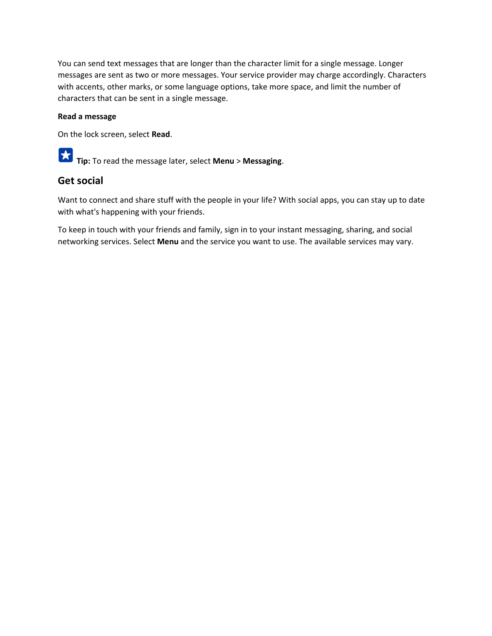You can send text messages that are longer than the character limit for a single message. Longer messages are sent as two or more messages. Your service provider may charge accordingly. Characters with accents, other marks, or some language options, take more space, and limit the number of characters that can be sent in a single message.

#### **Read a message**

On the lock screen, select **Read**.

 $|\bigstar|$ **Tip:** To read the message later, select **Menu** > **Messaging**.

#### **Get social**

Want to connect and share stuff with the people in your life? With social apps, you can stay up to date with what's happening with your friends.

To keep in touch with your friends and family, sign in to your instant messaging, sharing, and social networking services. Select **Menu** and the service you want to use. The available services may vary.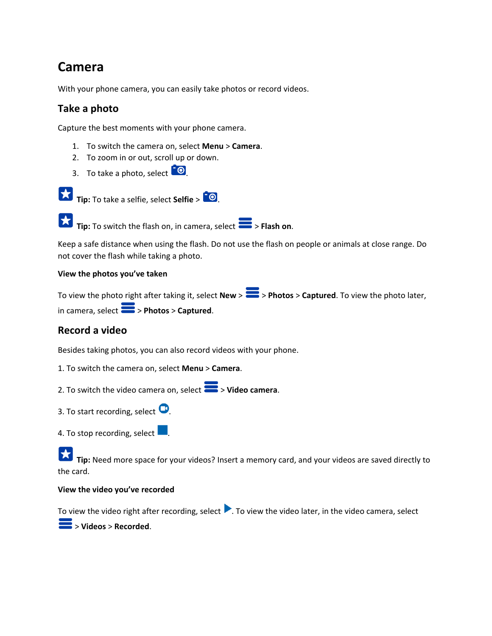# **Camera**

With your phone camera, you can easily take photos or record videos.

# **Take a photo**

Capture the best moments with your phone camera.

- 1. To switch the camera on, select **Menu** > **Camera**.
- 2. To zoom in or out, scroll up or down.
- 3. To take a photo, select  $\boxed{\bullet}$ .



**Tip:** To take a selfie, select **Selfie** >  $\frac{1}{2}$ 

**Tip:** To switch the flash on, in camera, select > **Flash on**.

Keep a safe distance when using the flash. Do not use the flash on people or animals at close range. Do not cover the flash while taking a photo.

#### **View the photos you've taken**

To view the photo right after taking it, select **New** >  $\blacktriangleright$  > **Photos** > **Captured**. To view the photo later, in camera, select > **Photos** > **Captured**.

# **Record a video**

Besides taking photos, you can also record videos with your phone.

1. To switch the camera on, select **Menu** > **Camera**.

2. To switch the video camera on, select  $\geq$  > **Video camera**.

- 3. To start recording, select  $\bullet$ .
- 4. To stop recording, select  $\Box$ .

**Tip:** Need more space for your videos? Insert a memory card, and your videos are saved directly to the card.

#### **View the video you've recorded**

To view the video right after recording, select  $\blacktriangleright$ . To view the video later, in the video camera, select

> **Videos** > **Recorded**.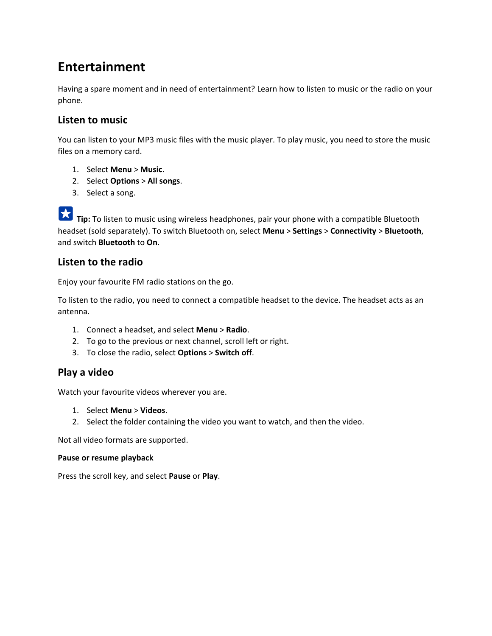# **Entertainment**

Having a spare moment and in need of entertainment? Learn how to listen to music or the radio on your phone.

## **Listen to music**

You can listen to your MP3 music files with the music player. To play music, you need to store the music files on a memory card.

- 1. Select **Menu** > **Music**.
- 2. Select **Options** > **All songs**.
- 3. Select a song.

**Tip:** To listen to music using wireless headphones, pair your phone with a compatible Bluetooth headset (sold separately). To switch Bluetooth on, select **Menu** > **Settings** > **Connectivity** > **Bluetooth**, and switch **Bluetooth** to **On**.

### **Listen to the radio**

Enjoy your favourite FM radio stations on the go.

To listen to the radio, you need to connect a compatible headset to the device. The headset acts as an antenna.

- 1. Connect a headset, and select **Menu** > **Radio**.
- 2. To go to the previous or next channel, scroll left or right.
- 3. To close the radio, select **Options** > **Switch off**.

### **Play a video**

Watch your favourite videos wherever you are.

- 1. Select **Menu** > **Videos**.
- 2. Select the folder containing the video you want to watch, and then the video.

Not all video formats are supported.

#### **Pause or resume playback**

Press the scroll key, and select **Pause** or **Play**.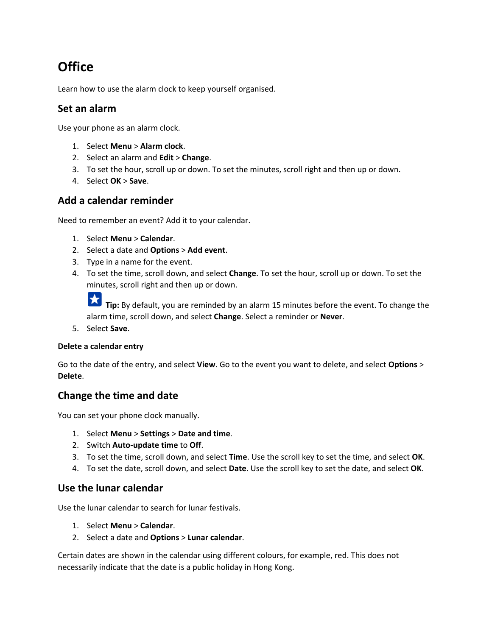# **Office**

Learn how to use the alarm clock to keep yourself organised.

### **Set an alarm**

Use your phone as an alarm clock.

- 1. Select **Menu** > **Alarm clock**.
- 2. Select an alarm and **Edit** > **Change**.
- 3. To set the hour, scroll up or down. To set the minutes, scroll right and then up or down.
- 4. Select **OK** > **Save**.

### **Add a calendar reminder**

Need to remember an event? Add it to your calendar.

- 1. Select **Menu** > **Calendar**.
- 2. Select a date and **Options** > **Add event**.
- 3. Type in a name for the event.
- 4. To set the time, scroll down, and select **Change**. To set the hour, scroll up or down. To set the minutes, scroll right and then up or down.

**Tip:** By default, you are reminded by an alarm 15 minutes before the event. To change the alarm time, scroll down, and select **Change**. Select a reminder or **Never**.

5. Select **Save**.

#### **Delete a calendar entry**

Go to the date of the entry, and select **View**. Go to the event you want to delete, and select **Options** > **Delete**.

# **Change the time and date**

You can set your phone clock manually.

- 1. Select **Menu** > **Settings** > **Date and time**.
- 2. Switch **Auto-update time** to **Off**.
- 3. To set the time, scroll down, and select **Time**. Use the scroll key to set the time, and select **OK**.
- 4. To set the date, scroll down, and select **Date**. Use the scroll key to set the date, and select **OK**.

### **Use the lunar calendar**

Use the lunar calendar to search for lunar festivals.

- 1. Select **Menu** > **Calendar**.
- 2. Select a date and **Options** > **Lunar calendar**.

Certain dates are shown in the calendar using different colours, for example, red. This does not necessarily indicate that the date is a public holiday in Hong Kong.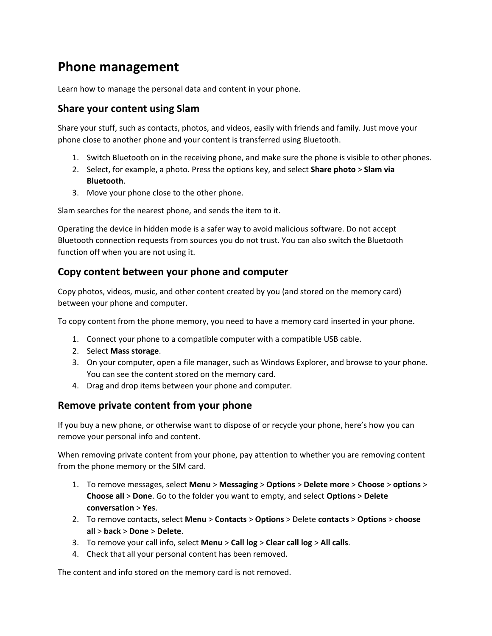# **Phone management**

Learn how to manage the personal data and content in your phone.

### **Share your content using Slam**

Share your stuff, such as contacts, photos, and videos, easily with friends and family. Just move your phone close to another phone and your content is transferred using Bluetooth.

- 1. Switch Bluetooth on in the receiving phone, and make sure the phone is visible to other phones.
- 2. Select, for example, a photo. Press the options key, and select **Share photo** > **Slam via Bluetooth**.
- 3. Move your phone close to the other phone.

Slam searches for the nearest phone, and sends the item to it.

Operating the device in hidden mode is a safer way to avoid malicious software. Do not accept Bluetooth connection requests from sources you do not trust. You can also switch the Bluetooth function off when you are not using it.

# **Copy content between your phone and computer**

Copy photos, videos, music, and other content created by you (and stored on the memory card) between your phone and computer.

To copy content from the phone memory, you need to have a memory card inserted in your phone.

- 1. Connect your phone to a compatible computer with a compatible USB cable.
- 2. Select **Mass storage**.
- 3. On your computer, open a file manager, such as Windows Explorer, and browse to your phone. You can see the content stored on the memory card.
- 4. Drag and drop items between your phone and computer.

# **Remove private content from your phone**

If you buy a new phone, or otherwise want to dispose of or recycle your phone, here's how you can remove your personal info and content.

When removing private content from your phone, pay attention to whether you are removing content from the phone memory or the SIM card.

- 1. To remove messages, select **Menu** > **Messaging** > **Options** > **Delete more** > **Choose** > **options** > **Choose all** > **Done**. Go to the folder you want to empty, and select **Options** > **Delete conversation** > **Yes**.
- 2. To remove contacts, select **Menu** > **Contacts** > **Options** > Delete **contacts** > **Options** > **choose all** > **back** > **Done** > **Delete**.
- 3. To remove your call info, select **Menu** > **Call log** > **Clear call log** > **All calls**.
- 4. Check that all your personal content has been removed.

The content and info stored on the memory card is not removed.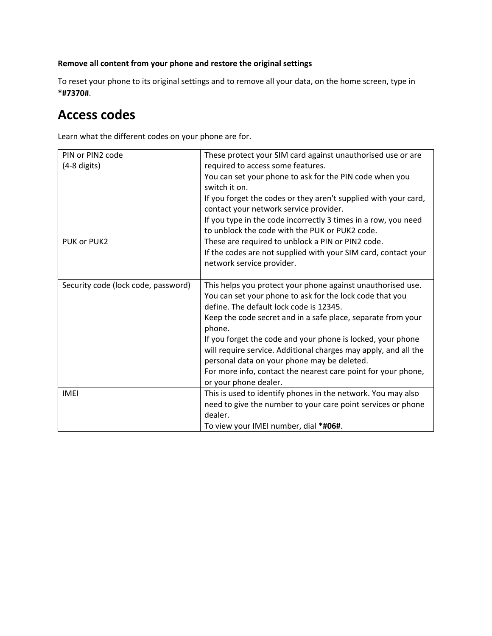### **Remove all content from your phone and restore the original settings**

To reset your phone to its original settings and to remove all your data, on the home screen, type in **\*#7370#**.

# **Access codes**

Learn what the different codes on your phone are for.

| PIN or PIN2 code                    | These protect your SIM card against unauthorised use or are     |
|-------------------------------------|-----------------------------------------------------------------|
| $(4-8$ digits)                      | required to access some features.                               |
|                                     | You can set your phone to ask for the PIN code when you         |
|                                     | switch it on.                                                   |
|                                     | If you forget the codes or they aren't supplied with your card, |
|                                     | contact your network service provider.                          |
|                                     | If you type in the code incorrectly 3 times in a row, you need  |
|                                     | to unblock the code with the PUK or PUK2 code.                  |
| PUK or PUK2                         | These are required to unblock a PIN or PIN2 code.               |
|                                     | If the codes are not supplied with your SIM card, contact your  |
|                                     | network service provider.                                       |
|                                     |                                                                 |
| Security code (lock code, password) | This helps you protect your phone against unauthorised use.     |
|                                     | You can set your phone to ask for the lock code that you        |
|                                     | define. The default lock code is 12345.                         |
|                                     | Keep the code secret and in a safe place, separate from your    |
|                                     | phone.                                                          |
|                                     | If you forget the code and your phone is locked, your phone     |
|                                     | will require service. Additional charges may apply, and all the |
|                                     | personal data on your phone may be deleted.                     |
|                                     | For more info, contact the nearest care point for your phone,   |
|                                     | or your phone dealer.                                           |
| <b>IMEI</b>                         | This is used to identify phones in the network. You may also    |
|                                     | need to give the number to your care point services or phone    |
|                                     | dealer.                                                         |
|                                     | To view your IMEI number, dial *#06#.                           |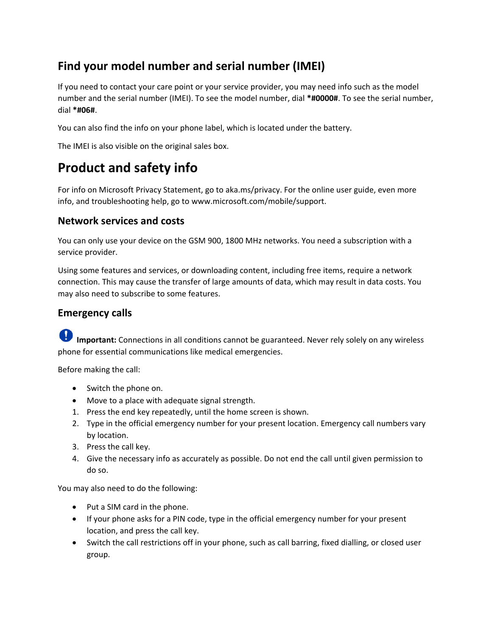# **Find your model number and serial number (IMEI)**

If you need to contact your care point or your service provider, you may need info such as the model number and the serial number (IMEI). To see the model number, dial **\*#0000#**. To see the serial number, dial **\*#06#**.

You can also find the info on your phone label, which is located under the battery.

The IMEI is also visible on the original sales box.

# **Product and safety info**

For info on Microsoft Privacy Statement, go to aka.ms/privacy. For the online user guide, even more info, and troubleshooting help, go to www.microsoft.com/mobile/support.

### **Network services and costs**

You can only use your device on the GSM 900, 1800 MHz networks. You need a subscription with a service provider.

Using some features and services, or downloading content, including free items, require a network connection. This may cause the transfer of large amounts of data, which may result in data costs. You may also need to subscribe to some features.

## **Emergency calls**

**Important:** Connections in all conditions cannot be guaranteed. Never rely solely on any wireless phone for essential communications like medical emergencies.

Before making the call:

- Switch the phone on.
- Move to a place with adequate signal strength.
- 1. Press the end key repeatedly, until the home screen is shown.
- 2. Type in the official emergency number for your present location. Emergency call numbers vary by location.
- 3. Press the call key.
- 4. Give the necessary info as accurately as possible. Do not end the call until given permission to do so.

You may also need to do the following:

- Put a SIM card in the phone.
- If your phone asks for a PIN code, type in the official emergency number for your present location, and press the call key.
- Switch the call restrictions off in your phone, such as call barring, fixed dialling, or closed user group.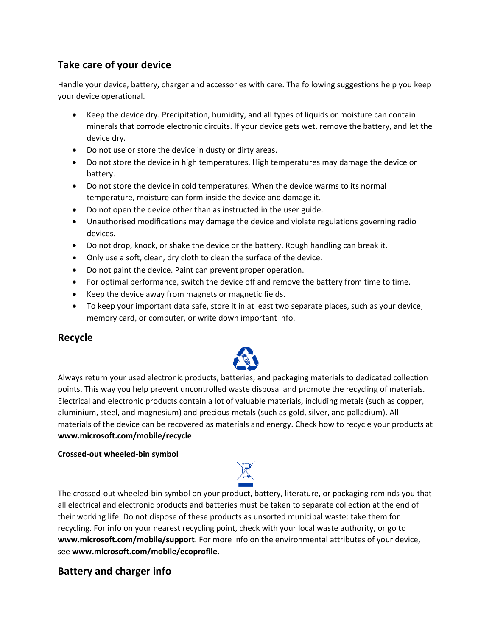# **Take care of your device**

Handle your device, battery, charger and accessories with care. The following suggestions help you keep your device operational.

- Keep the device dry. Precipitation, humidity, and all types of liquids or moisture can contain minerals that corrode electronic circuits. If your device gets wet, remove the battery, and let the device dry.
- Do not use or store the device in dusty or dirty areas.
- Do not store the device in high temperatures. High temperatures may damage the device or battery.
- Do not store the device in cold temperatures. When the device warms to its normal temperature, moisture can form inside the device and damage it.
- Do not open the device other than as instructed in the user guide.
- Unauthorised modifications may damage the device and violate regulations governing radio devices.
- Do not drop, knock, or shake the device or the battery. Rough handling can break it.
- Only use a soft, clean, dry cloth to clean the surface of the device.
- Do not paint the device. Paint can prevent proper operation.
- For optimal performance, switch the device off and remove the battery from time to time.
- Keep the device away from magnets or magnetic fields.
- To keep your important data safe, store it in at least two separate places, such as your device, memory card, or computer, or write down important info.

### **Recycle**



Always return your used electronic products, batteries, and packaging materials to dedicated collection points. This way you help prevent uncontrolled waste disposal and promote the recycling of materials. Electrical and electronic products contain a lot of valuable materials, including metals (such as copper, aluminium, steel, and magnesium) and precious metals (such as gold, silver, and palladium). All materials of the device can be recovered as materials and energy. Check how to recycle your products at **www.microsoft.com/mobile/recycle**.

#### **Crossed-out wheeled-bin symbol**



The crossed-out wheeled-bin symbol on your product, battery, literature, or packaging reminds you that all electrical and electronic products and batteries must be taken to separate collection at the end of their working life. Do not dispose of these products as unsorted municipal waste: take them for recycling. For info on your nearest recycling point, check with your local waste authority, or go to **www.microsoft.com/mobile/support**. For more info on the environmental attributes of your device, see **www.microsoft.com/mobile/ecoprofile**.

# **Battery and charger info**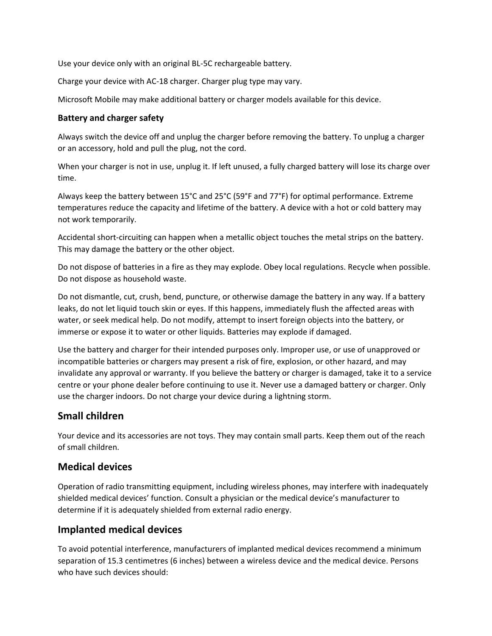Use your device only with an original BL-5C rechargeable battery.

Charge your device with AC-18 charger. Charger plug type may vary.

Microsoft Mobile may make additional battery or charger models available for this device.

#### **Battery and charger safety**

Always switch the device off and unplug the charger before removing the battery. To unplug a charger or an accessory, hold and pull the plug, not the cord.

When your charger is not in use, unplug it. If left unused, a fully charged battery will lose its charge over time.

Always keep the battery between 15°C and 25°C (59°F and 77°F) for optimal performance. Extreme temperatures reduce the capacity and lifetime of the battery. A device with a hot or cold battery may not work temporarily.

Accidental short-circuiting can happen when a metallic object touches the metal strips on the battery. This may damage the battery or the other object.

Do not dispose of batteries in a fire as they may explode. Obey local regulations. Recycle when possible. Do not dispose as household waste.

Do not dismantle, cut, crush, bend, puncture, or otherwise damage the battery in any way. If a battery leaks, do not let liquid touch skin or eyes. If this happens, immediately flush the affected areas with water, or seek medical help. Do not modify, attempt to insert foreign objects into the battery, or immerse or expose it to water or other liquids. Batteries may explode if damaged.

Use the battery and charger for their intended purposes only. Improper use, or use of unapproved or incompatible batteries or chargers may present a risk of fire, explosion, or other hazard, and may invalidate any approval or warranty. If you believe the battery or charger is damaged, take it to a service centre or your phone dealer before continuing to use it. Never use a damaged battery or charger. Only use the charger indoors. Do not charge your device during a lightning storm.

# **Small children**

Your device and its accessories are not toys. They may contain small parts. Keep them out of the reach of small children.

# **Medical devices**

Operation of radio transmitting equipment, including wireless phones, may interfere with inadequately shielded medical devices' function. Consult a physician or the medical device's manufacturer to determine if it is adequately shielded from external radio energy.

# **Implanted medical devices**

To avoid potential interference, manufacturers of implanted medical devices recommend a minimum separation of 15.3 centimetres (6 inches) between a wireless device and the medical device. Persons who have such devices should: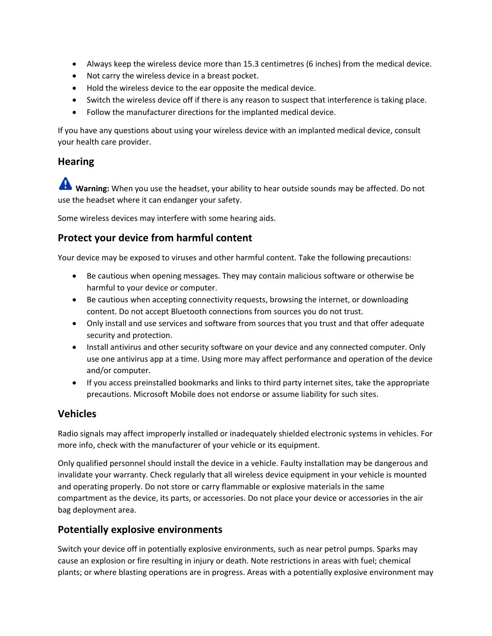- Always keep the wireless device more than 15.3 centimetres (6 inches) from the medical device.
- Not carry the wireless device in a breast pocket.
- Hold the wireless device to the ear opposite the medical device.
- Switch the wireless device off if there is any reason to suspect that interference is taking place.
- Follow the manufacturer directions for the implanted medical device.

If you have any questions about using your wireless device with an implanted medical device, consult your health care provider.

# **Hearing**

**Warning:** When you use the headset, your ability to hear outside sounds may be affected. Do not use the headset where it can endanger your safety.

Some wireless devices may interfere with some hearing aids.

# **Protect your device from harmful content**

Your device may be exposed to viruses and other harmful content. Take the following precautions:

- Be cautious when opening messages. They may contain malicious software or otherwise be harmful to your device or computer.
- Be cautious when accepting connectivity requests, browsing the internet, or downloading content. Do not accept Bluetooth connections from sources you do not trust.
- Only install and use services and software from sources that you trust and that offer adequate security and protection.
- Install antivirus and other security software on your device and any connected computer. Only use one antivirus app at a time. Using more may affect performance and operation of the device and/or computer.
- If you access preinstalled bookmarks and links to third party internet sites, take the appropriate precautions. Microsoft Mobile does not endorse or assume liability for such sites.

# **Vehicles**

Radio signals may affect improperly installed or inadequately shielded electronic systems in vehicles. For more info, check with the manufacturer of your vehicle or its equipment.

Only qualified personnel should install the device in a vehicle. Faulty installation may be dangerous and invalidate your warranty. Check regularly that all wireless device equipment in your vehicle is mounted and operating properly. Do not store or carry flammable or explosive materials in the same compartment as the device, its parts, or accessories. Do not place your device or accessories in the air bag deployment area.

# **Potentially explosive environments**

Switch your device off in potentially explosive environments, such as near petrol pumps. Sparks may cause an explosion or fire resulting in injury or death. Note restrictions in areas with fuel; chemical plants; or where blasting operations are in progress. Areas with a potentially explosive environment may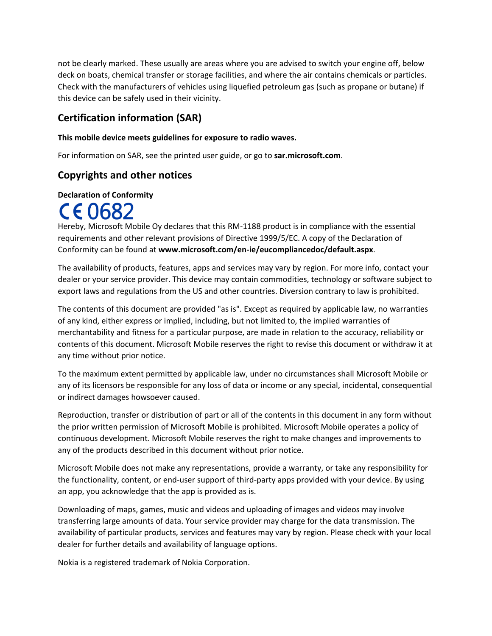not be clearly marked. These usually are areas where you are advised to switch your engine off, below deck on boats, chemical transfer or storage facilities, and where the air contains chemicals or particles. Check with the manufacturers of vehicles using liquefied petroleum gas (such as propane or butane) if this device can be safely used in their vicinity.

# **Certification information (SAR)**

#### **This mobile device meets guidelines for exposure to radio waves.**

For information on SAR, see the printed user guide, or go to **sar.microsoft.com**.

# **Copyrights and other notices**

#### **Declaration of Conformity**

# CE0682

Hereby, Microsoft Mobile Oy declares that this RM-1188 product is in compliance with the essential requirements and other relevant provisions of Directive 1999/5/EC. A copy of the Declaration of Conformity can be found at **www.microsoft.com/en-ie/eucompliancedoc/default.aspx**.

The availability of products, features, apps and services may vary by region. For more info, contact your dealer or your service provider. This device may contain commodities, technology or software subject to export laws and regulations from the US and other countries. Diversion contrary to law is prohibited.

The contents of this document are provided "as is". Except as required by applicable law, no warranties of any kind, either express or implied, including, but not limited to, the implied warranties of merchantability and fitness for a particular purpose, are made in relation to the accuracy, reliability or contents of this document. Microsoft Mobile reserves the right to revise this document or withdraw it at any time without prior notice.

To the maximum extent permitted by applicable law, under no circumstances shall Microsoft Mobile or any of its licensors be responsible for any loss of data or income or any special, incidental, consequential or indirect damages howsoever caused.

Reproduction, transfer or distribution of part or all of the contents in this document in any form without the prior written permission of Microsoft Mobile is prohibited. Microsoft Mobile operates a policy of continuous development. Microsoft Mobile reserves the right to make changes and improvements to any of the products described in this document without prior notice.

Microsoft Mobile does not make any representations, provide a warranty, or take any responsibility for the functionality, content, or end-user support of third-party apps provided with your device. By using an app, you acknowledge that the app is provided as is.

Downloading of maps, games, music and videos and uploading of images and videos may involve transferring large amounts of data. Your service provider may charge for the data transmission. The availability of particular products, services and features may vary by region. Please check with your local dealer for further details and availability of language options.

Nokia is a registered trademark of Nokia Corporation.